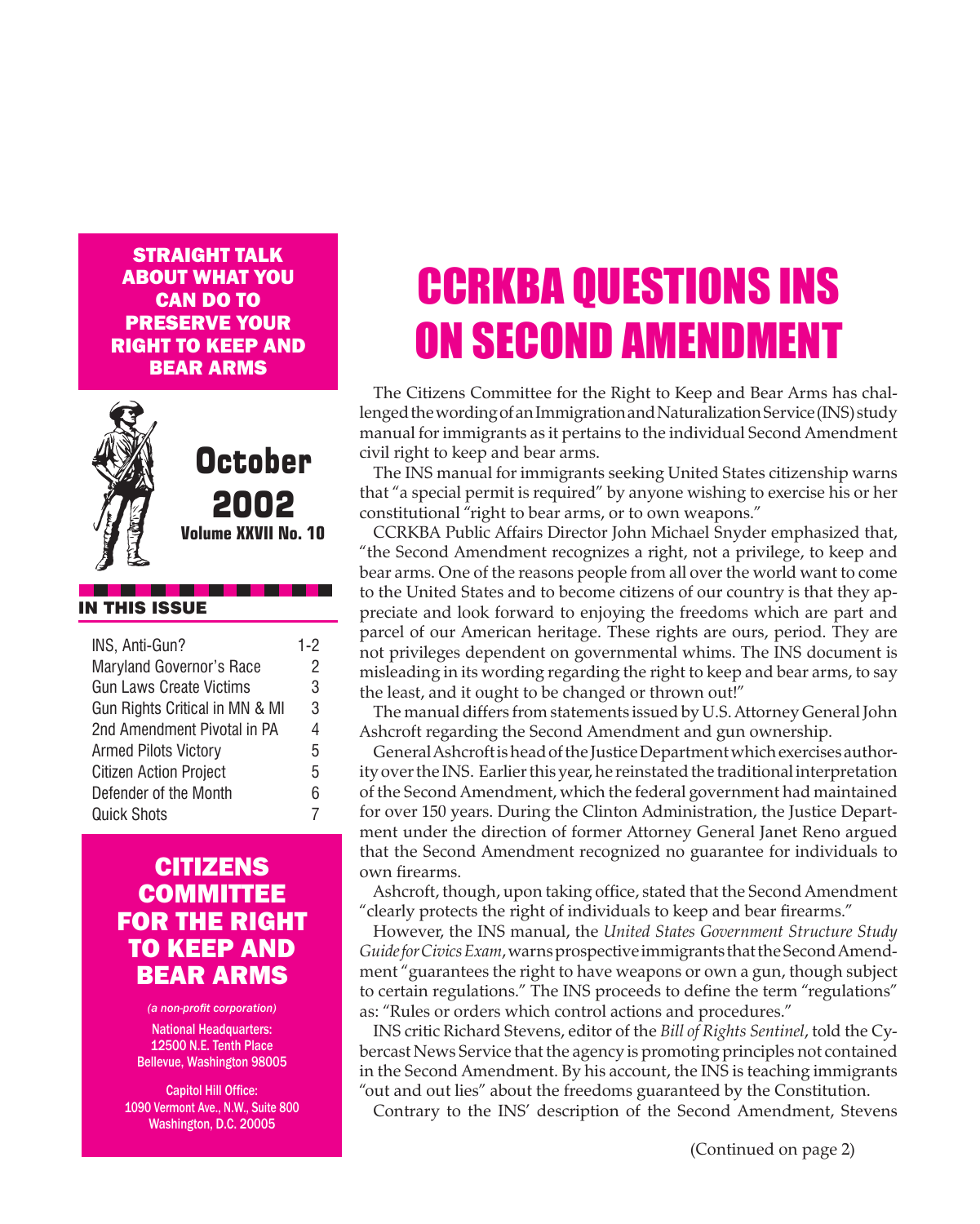Straight Talk about what you **CAN DO TO** preserve your right to keep and bear arms



### **October** 2002

**Volume XXVII No. 10**

#### IN THIS ISSUE

| INS, Anti-Gun?                  | $1-2$ |
|---------------------------------|-------|
| <b>Maryland Governor's Race</b> | 2     |
| <b>Gun Laws Create Victims</b>  | 3     |
| Gun Rights Critical in MN & MI  | 3     |
| 2nd Amendment Pivotal in PA     | 4     |
| <b>Armed Pilots Victory</b>     | 5     |
| <b>Citizen Action Project</b>   | 5     |
| Defender of the Month           | 6     |
| <b>Quick Shots</b>              |       |

#### **CITIZENS COMMITTEE** for the Right to Keep and Bear Arms

*(a non-profit corporation)* **National Headquarters:** 12500 N.E. Tenth Place Bellevue, Washington 98005

Capitol Hill Office: 1090 Vermont Ave., N.W., Suite 800 Washington, D.C. 20005

# CCRKBA QUESTIONS INS ON SECOND AMENDMENT

The Citizens Committee for the Right to Keep and Bear Arms has challenged the wording of an Immigration and Naturalization Service (INS) study manual for immigrants as it pertains to the individual Second Amendment civil right to keep and bear arms.

The INS manual for immigrants seeking United States citizenship warns that "a special permit is required" by anyone wishing to exercise his or her constitutional "right to bear arms, or to own weapons."

CCRKBA Public Affairs Director John Michael Snyder emphasized that, "the Second Amendment recognizes a right, not a privilege, to keep and bear arms. One of the reasons people from all over the world want to come to the United States and to become citizens of our country is that they appreciate and look forward to enjoying the freedoms which are part and parcel of our American heritage. These rights are ours, period. They are not privileges dependent on governmental whims. The INS document is misleading in its wording regarding the right to keep and bear arms, to say the least, and it ought to be changed or thrown out!"

The manual differs from statements issued by U.S. Attorney General John Ashcroft regarding the Second Amendment and gun ownership.

General Ashcroft is head of the Justice Department which exercises authority over the INS. Earlier this year, he reinstated the traditional interpretation of the Second Amendment, which the federal government had maintained for over 150 years. During the Clinton Administration, the Justice Department under the direction of former Attorney General Janet Reno argued that the Second Amendment recognized no guarantee for individuals to own firearms.

Ashcroft, though, upon taking office, stated that the Second Amendment "clearly protects the right of individuals to keep and bear firearms."

However, the INS manual, the *United States Government Structure Study Guide for Civics Exam*, warns prospective immigrants that the Second Amendment "guarantees the right to have weapons or own a gun, though subject to certain regulations." The INS proceeds to define the term "regulations" as: "Rules or orders which control actions and procedures."

INS critic Richard Stevens, editor of the *Bill of Rights Sentinel*, told the Cybercast News Service that the agency is promoting principles not contained in the Second Amendment. By his account, the INS is teaching immigrants "out and out lies" about the freedoms guaranteed by the Constitution.

Contrary to the INS' description of the Second Amendment, Stevens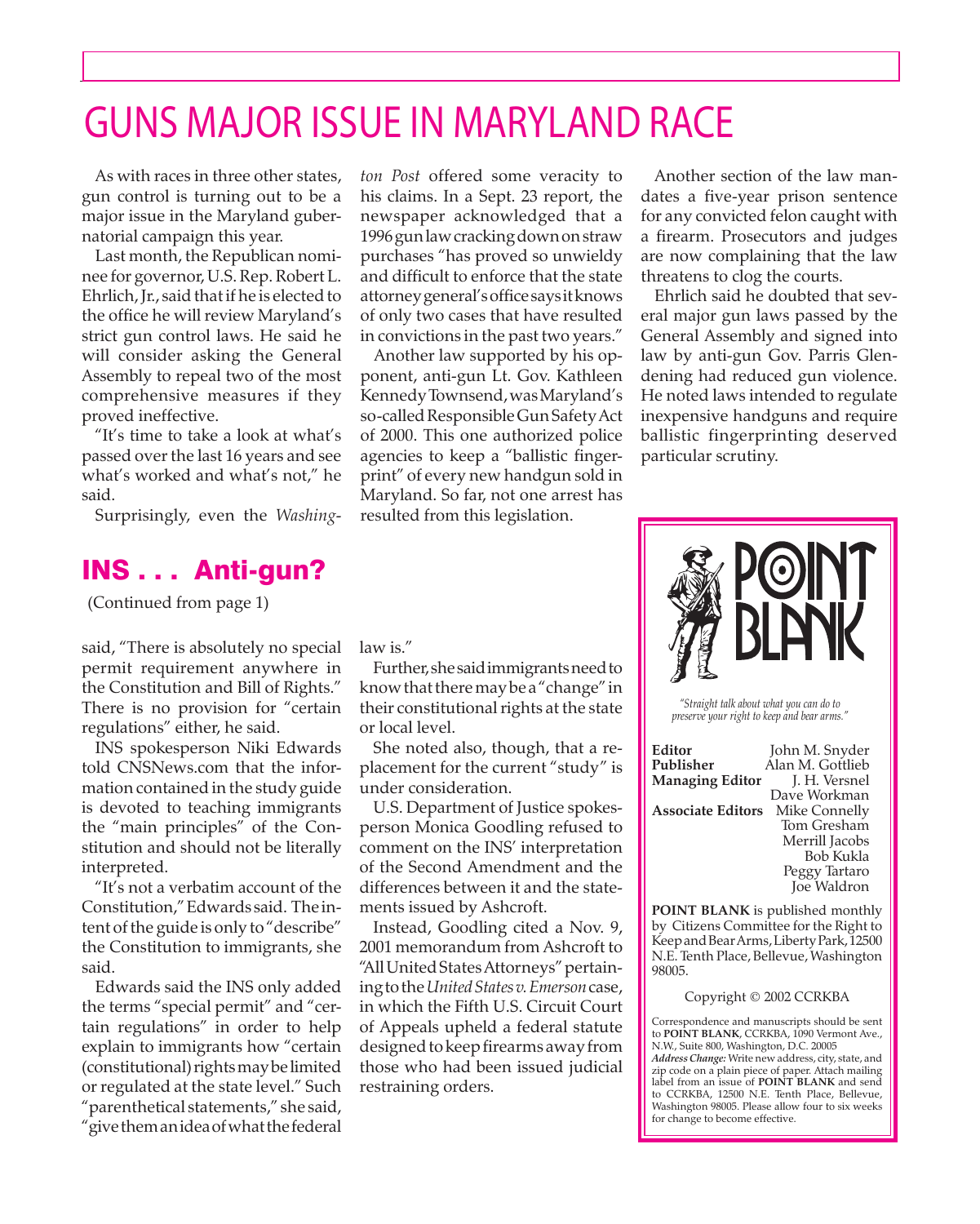### GUNS MAJOR ISSUE IN MARYLAND RACE

As with races in three other states, gun control is turning out to be a major issue in the Maryland gubernatorial campaign this year.

Last month, the Republican nominee for governor, U.S. Rep. Robert L. Ehrlich, Jr., said that if he is elected to the office he will review Maryland's strict gun control laws. He said he will consider asking the General Assembly to repeal two of the most comprehensive measures if they proved ineffective.

"It's time to take a look at what's passed over the last 16 years and see what's worked and what's not," he said.

Surprisingly, even the *Washing-*

#### INS . . . Anti-gun?

(Continued from page 1)

said, "There is absolutely no special permit requirement anywhere in the Constitution and Bill of Rights." There is no provision for "certain regulations" either, he said.

INS spokesperson Niki Edwards told CNSNews.com that the information contained in the study guide is devoted to teaching immigrants the "main principles" of the Constitution and should not be literally interpreted.

"It's not a verbatim account of the Constitution," Edwards said. The intent of the guide is only to "describe" the Constitution to immigrants, she said.

 "parenthetical statements," she said, Edwards said the INS only added the terms "special permit" and "certain regulations" in order to help explain to immigrants how "certain (constitutional) rights may be limited or regulated at the state level." Such "give them an idea of what the federal

*ton Post* offered some veracity to his claims. In a Sept. 23 report, the newspaper acknowledged that a 1996 gun law cracking down on straw purchases "has proved so unwieldy and difficult to enforce that the state attorney general's office says it knows of only two cases that have resulted in convictions in the past two years."

Another law supported by his opponent, anti-gun Lt. Gov. Kathleen Kennedy Townsend, was Maryland's so-called Responsible Gun Safety Act of 2000. This one authorized police agencies to keep a "ballistic fingerprint" of every new handgun sold in Maryland. So far, not one arrest has resulted from this legislation.

Another section of the law mandates a five-year prison sentence for any convicted felon caught with a firearm. Prosecutors and judges are now complaining that the law threatens to clog the courts.

Ehrlich said he doubted that several major gun laws passed by the General Assembly and signed into law by anti-gun Gov. Parris Glendening had reduced gun violence. He noted laws intended to regulate inexpensive handguns and require ballistic fingerprinting deserved particular scrutiny.



*"Straight talk about what you can do to preserve your right to keep and bear arms."*

| Editor                   | John M. Snyder   |
|--------------------------|------------------|
| Publisher                | Alan M. Gottlieb |
| <b>Managing Editor</b>   | J. H. Versnel    |
|                          | Dave Workman     |
| <b>Associate Editors</b> | Mike Connelly    |
|                          | Tom Gresham      |
|                          | Merrill Jacobs   |
|                          | <b>Bob Kukla</b> |
|                          | Peggy Tartaro    |
|                          | Joe Waldron      |
|                          |                  |

**POINT BLANK** is published monthly by Citizens Committee for the Right to Keep and Bear Arms, Liberty Park, 12500 N.E. Tenth Place, Bellevue, Washington 98005.

Copyright © 2002 CCRKBA

Correspondence and manuscripts should be sent to **POINT BLANK**, CCRKBA, 1090 Vermont Ave., N.W., Suite 800, Washington, D.C. 20005 *Address Change:* Write new address, city, state, and zip code on a plain piece of paper. Attach mailing label from an issue of **POINT BLANK** and send to CCRKBA, 12500 N.E. Tenth Place, Bellevue, Washington 98005. Please allow four to six weeks for change to become effective.

law is."

 know that there may be a "change" in Further, she said immigrants need to their constitutional rights at the state or local level.

She noted also, though, that a replacement for the current "study" is under consideration.

U.S. Department of Justice spokesperson Monica Goodling refused to comment on the INS' interpretation of the Second Amendment and the differences between it and the statements issued by Ashcroft.

Instead, Goodling cited a Nov. 9, 2001 memorandum from Ashcroft to "All United States Attorneys" pertaining to the *United States v. Emerson* case, in which the Fifth U.S. Circuit Court of Appeals upheld a federal statute designed to keep firearms away from those who had been issued judicial restraining orders.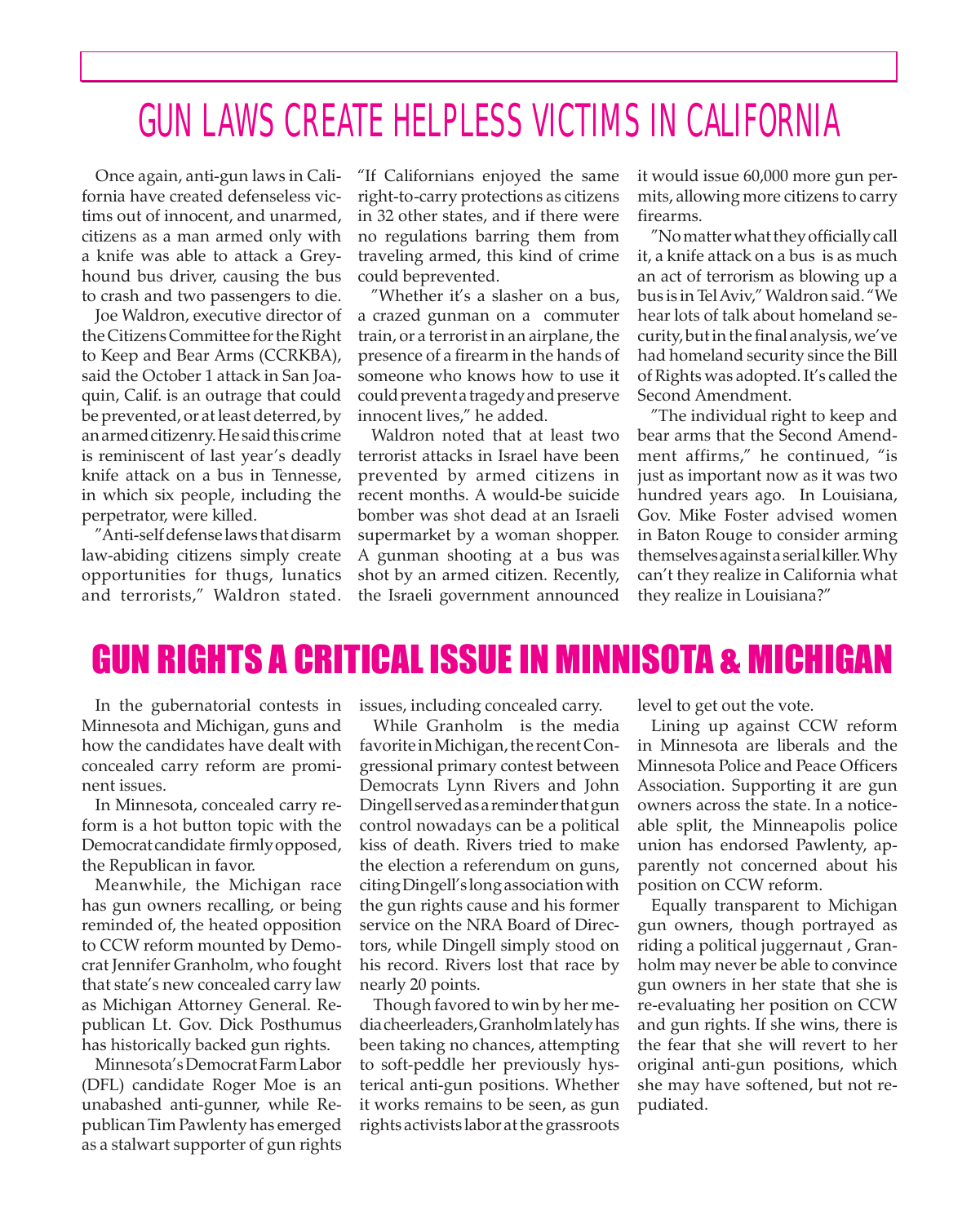### GUN LAWS CREATE HELPLESS VICTIMS IN CALIFORNIA

Once again, anti-gun laws in California have created defenseless victims out of innocent, and unarmed, citizens as a man armed only with a knife was able to attack a Greyhound bus driver, causing the bus to crash and two passengers to die.

Joe Waldron, executive director of the Citizens Committee for the Right to Keep and Bear Arms (CCRKBA), said the October 1 attack in San Joaquin, Calif. is an outrage that could be prevented, or at least deterred, by an armed citizenry. He said this crime is reminiscent of last year's deadly knife attack on a bus in Tennesse, in which six people, including the perpetrator, were killed.

"Anti-self defense laws that disarm law-abiding citizens simply create opportunities for thugs, lunatics and terrorists," Waldron stated.

"If Californians enjoyed the same right-to-carry protections as citizens in 32 other states, and if there were no regulations barring them from traveling armed, this kind of crime could beprevented.

"Whether it's a slasher on a bus, a crazed gunman on a commuter train, or a terrorist in an airplane, the presence of a firearm in the hands of someone who knows how to use it could prevent a tragedy and preserve innocent lives," he added.

Waldron noted that at least two terrorist attacks in Israel have been prevented by armed citizens in recent months. A would-be suicide bomber was shot dead at an Israeli supermarket by a woman shopper. A gunman shooting at a bus was shot by an armed citizen. Recently, the Israeli government announced

it would issue 60,000 more gun permits, allowing more citizens to carry firearms.

"No matter what they officially call it, a knife attack on a bus is as much an act of terrorism as blowing up a bus is in Tel Aviv," Waldron said. "We hear lots of talk about homeland security, but in the final analysis, we've had homeland security since the Bill of Rights was adopted. It's called the Second Amendment.

"The individual right to keep and bear arms that the Second Amendment affirms," he continued, "is just as important now as it was two hundred years ago. In Louisiana, Gov. Mike Foster advised women in Baton Rouge to consider arming themselves against a serial killer. Why can't they realize in California what they realize in Louisiana?"

### GUN RIGHTS A CRITICAL ISSUE IN MINNISOTA & MICHIGAN

In the gubernatorial contests in Minnesota and Michigan, guns and how the candidates have dealt with concealed carry reform are prominent issues.

In Minnesota, concealed carry reform is a hot button topic with the Democrat candidate firmly opposed, the Republican in favor.

Meanwhile, the Michigan race has gun owners recalling, or being reminded of, the heated opposition to CCW reform mounted by Democrat Jennifer Granholm, who fought that state's new concealed carry law as Michigan Attorney General. Republican Lt. Gov. Dick Posthumus has historically backed gun rights.

Minnesota's Democrat Farm Labor (DFL) candidate Roger Moe is an unabashed anti-gunner, while Republican Tim Pawlenty has emerged as a stalwart supporter of gun rights

issues, including concealed carry.

While Granholm is the media favorite in Michigan, the recent Congressional primary contest between Democrats Lynn Rivers and John Dingell served as a reminder that gun control nowadays can be a political kiss of death. Rivers tried to make the election a referendum on guns, citing Dingell's long association with the gun rights cause and his former service on the NRA Board of Directors, while Dingell simply stood on his record. Rivers lost that race by nearly 20 points.

Though favored to win by her media cheerleaders, Granholm lately has been taking no chances, attempting to soft-peddle her previously hysterical anti-gun positions. Whether it works remains to be seen, as gun rights activists labor at the grassroots

level to get out the vote.

Lining up against CCW reform in Minnesota are liberals and the Minnesota Police and Peace Officers Association. Supporting it are gun owners across the state. In a noticeable split, the Minneapolis police union has endorsed Pawlenty, apparently not concerned about his position on CCW reform.

Equally transparent to Michigan gun owners, though portrayed as riding a political juggernaut , Granholm may never be able to convince gun owners in her state that she is re-evaluating her position on CCW and gun rights. If she wins, there is the fear that she will revert to her original anti-gun positions, which she may have softened, but not repudiated.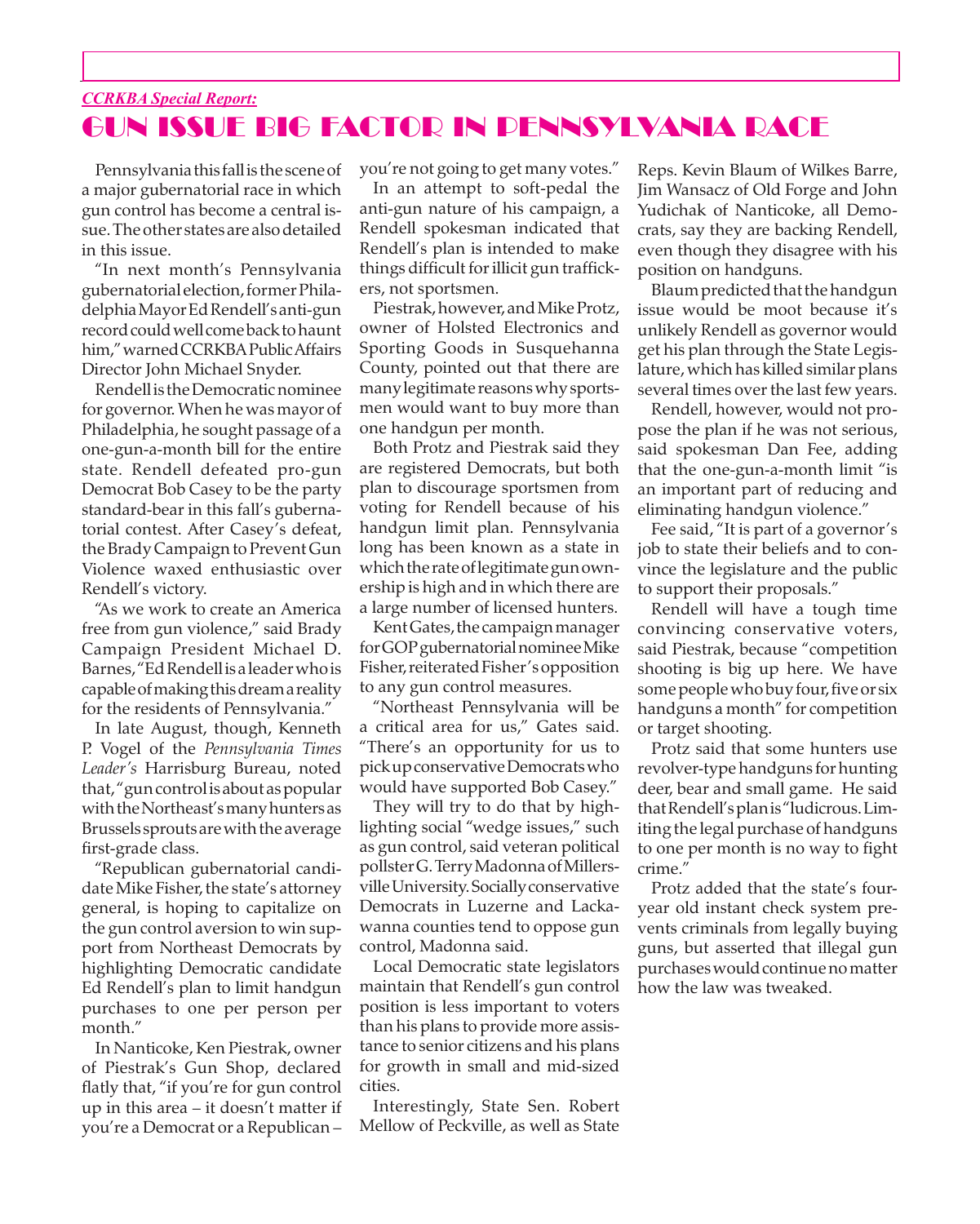#### *CCRKBA Special Report:* GUN ISSUE BIG FACTOR IN PENNSYLVANIA RACE

Pennsylvania this fall is the scene of a major gubernatorial race in which gun control has become a central issue. The other states are also detailed in this issue.

"In next month's Pennsylvania gubernatorial election, former Philadelphia Mayor Ed Rendell's anti-gun record could well come back to haunt him," warned CCRKBA Public Affairs Director John Michael Snyder.

Rendell is the Democratic nominee for governor. When he was mayor of Philadelphia, he sought passage of a one-gun-a-month bill for the entire state. Rendell defeated pro-gun Democrat Bob Casey to be the party standard-bear in this fall's gubernatorial contest. After Casey's defeat, the Brady Campaign to Prevent Gun Violence waxed enthusiastic over Rendell's victory.

"As we work to create an America free from gun violence," said Brady Campaign President Michael D. Barnes, "Ed Rendell is a leader who is capable of making this dream a reality for the residents of Pennsylvania."

In late August, though, Kenneth P. Vogel of the *Pennsylvania Times Leader's* Harrisburg Bureau, noted that, "gun control is about as popular with the Northeast's many hunters as Brussels sprouts are with the average first-grade class.

"Republican gubernatorial candidate Mike Fisher, the state's attorney general, is hoping to capitalize on the gun control aversion to win support from Northeast Democrats by highlighting Democratic candidate Ed Rendell's plan to limit handgun purchases to one per person per month."

In Nanticoke, Ken Piestrak, owner of Piestrak's Gun Shop, declared flatly that, "if you're for gun control up in this area – it doesn't matter if you're a Democrat or a Republican – you're not going to get many votes."

In an attempt to soft-pedal the anti-gun nature of his campaign, a Rendell spokesman indicated that Rendell's plan is intended to make things difficult for illicit gun traffickers, not sportsmen.

Piestrak, however, and Mike Protz, owner of Holsted Electronics and Sporting Goods in Susquehanna County, pointed out that there are many legitimate reasons why sportsmen would want to buy more than one handgun per month.

Both Protz and Piestrak said they are registered Democrats, but both plan to discourage sportsmen from voting for Rendell because of his handgun limit plan. Pennsylvania long has been known as a state in which the rate of legitimate gun ownership is high and in which there are a large number of licensed hunters.

Kent Gates, the campaign manager for GOP gubernatorial nominee Mike Fisher, reiterated Fisher's opposition to any gun control measures.

"Northeast Pennsylvania will be a critical area for us," Gates said. "There's an opportunity for us to pick up conservative Democrats who would have supported Bob Casey."

They will try to do that by highlighting social "wedge issues," such as gun control, said veteran political pollster G. Terry Madonna of Millersville University. Socially conservative Democrats in Luzerne and Lackawanna counties tend to oppose gun control, Madonna said.

Local Democratic state legislators maintain that Rendell's gun control position is less important to voters than his plans to provide more assistance to senior citizens and his plans for growth in small and mid-sized cities.

Interestingly, State Sen. Robert Mellow of Peckville, as well as State

Reps. Kevin Blaum of Wilkes Barre, Jim Wansacz of Old Forge and John Yudichak of Nanticoke, all Democrats, say they are backing Rendell, even though they disagree with his position on handguns.

Blaum predicted that the handgun issue would be moot because it's unlikely Rendell as governor would get his plan through the State Legislature, which has killed similar plans several times over the last few years.

Rendell, however, would not propose the plan if he was not serious, said spokesman Dan Fee, adding that the one-gun-a-month limit "is an important part of reducing and eliminating handgun violence."

Fee said, "It is part of a governor's job to state their beliefs and to convince the legislature and the public to support their proposals."

Rendell will have a tough time convincing conservative voters, said Piestrak, because "competition shooting is big up here. We have some people who buy four, five or six handguns a month" for competition or target shooting.

Protz said that some hunters use revolver-type handguns for hunting deer, bear and small game. He said that Rendell's plan is "ludicrous. Limiting the legal purchase of handguns to one per month is no way to fight crime."

Protz added that the state's fouryear old instant check system prevents criminals from legally buying guns, but asserted that illegal gun purchases would continue no matter how the law was tweaked.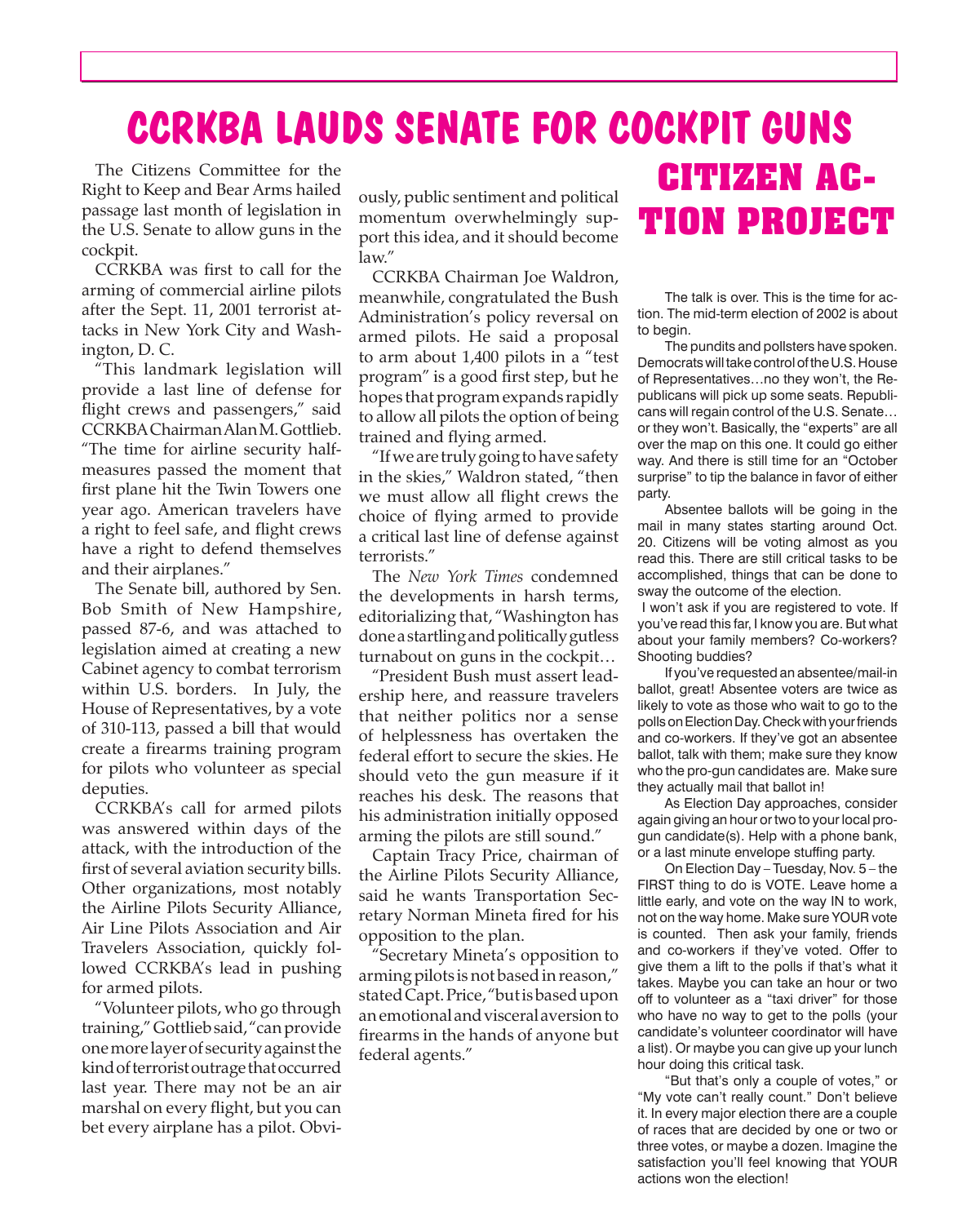## **CCRKBA LAUDS SENATE FOR COCKPIT GUNS**

The Citizens Committee for the Right to Keep and Bear Arms hailed passage last month of legislation in the U.S. Senate to allow guns in the cockpit.

CCRKBA was first to call for the arming of commercial airline pilots after the Sept. 11, 2001 terrorist attacks in New York City and Washington, D. C.

"This landmark legislation will provide a last line of defense for flight crews and passengers," said CCRKBA Chairman Alan M. Gottlieb. "The time for airline security halfmeasures passed the moment that first plane hit the Twin Towers one year ago. American travelers have a right to feel safe, and flight crews have a right to defend themselves and their airplanes."

The Senate bill, authored by Sen. Bob Smith of New Hampshire, passed 87-6, and was attached to legislation aimed at creating a new Cabinet agency to combat terrorism within U.S. borders. In July, the House of Representatives, by a vote of 310-113, passed a bill that would create a firearms training program for pilots who volunteer as special deputies.

CCRKBA's call for armed pilots was answered within days of the attack, with the introduction of the first of several aviation security bills. Other organizations, most notably the Airline Pilots Security Alliance, Air Line Pilots Association and Air Travelers Association, quickly followed CCRKBA's lead in pushing for armed pilots.

"Volunteer pilots, who go through training," Gottlieb said, "can provide one more layer of security against the kind of terrorist outrage that occurred last year. There may not be an air marshal on every flight, but you can bet every airplane has a pilot. Obviously, public sentiment and political momentum overwhelmingly support this idea, and it should become law."

CCRKBA Chairman Joe Waldron, meanwhile, congratulated the Bush Administration's policy reversal on armed pilots. He said a proposal to arm about 1,400 pilots in a "test program" is a good first step, but he hopes that program expands rapidly to allow all pilots the option of being trained and flying armed.

"If we are truly going to have safety in the skies," Waldron stated, "then we must allow all flight crews the choice of flying armed to provide a critical last line of defense against terrorists."

The *New York Times* condemned the developments in harsh terms, editorializing that, "Washington has done a startling and politically gutless turnabout on guns in the cockpit…

"President Bush must assert leadership here, and reassure travelers that neither politics nor a sense of helplessness has overtaken the federal effort to secure the skies. He should veto the gun measure if it reaches his desk. The reasons that his administration initially opposed arming the pilots are still sound."

Captain Tracy Price, chairman of the Airline Pilots Security Alliance, said he wants Transportation Secretary Norman Mineta fired for his opposition to the plan.

"Secretary Mineta's opposition to arming pilots is not based in reason," stated Capt. Price, "but is based upon an emotional and visceral aversion to firearms in the hands of anyone but federal agents."

# **CITIZEN AC-TION PROJECT**

The talk is over. This is the time for action. The mid-term election of 2002 is about to begin.

 The pundits and pollsters have spoken. Democrats will take control of the U.S. House of Representatives…no they won't, the Republicans will pick up some seats. Republicans will regain control of the U.S. Senate… or they won't. Basically, the "experts" are all over the map on this one. It could go either way. And there is still time for an "October surprise" to tip the balance in favor of either party.

 Absentee ballots will be going in the mail in many states starting around Oct. 20. Citizens will be voting almost as you read this. There are still critical tasks to be accomplished, things that can be done to sway the outcome of the election.

I won't ask if you are registered to vote. If you've read this far, I know you are. But what about your family members? Co-workers? Shooting buddies?

 If you've requested an absentee/mail-in ballot, great! Absentee voters are twice as likely to vote as those who wait to go to the pollsonElectionDay.Checkwithyourfriends and co-workers. If they've got an absentee ballot, talk with them; make sure they know who the pro-gun candidates are. Make sure they actually mail that ballot in!

 As Election Day approaches, consider again giving an hour or two to your local progun candidate(s). Help with a phone bank, or a last minute envelope stuffing party.

 On Election Day – Tuesday, Nov. 5 – the FIRST thing to do is VOTE. Leave home a little early, and vote on the way IN to work, not on the way home. Make sure YOUR vote is counted. Then ask your family, friends and co-workers if they've voted. Offer to give them a lift to the polls if that's what it takes. Maybe you can take an hour or two off to volunteer as a "taxi driver" for those who have no way to get to the polls (your candidate's volunteer coordinator will have a list). Or maybe you can give up your lunch hour doing this critical task.

 "But that's only a couple of votes," or "My vote can't really count." Don't believe it. In every major election there are a couple of races that are decided by one or two or three votes, or maybe a dozen. Imagine the satisfaction you'll feel knowing that YOUR actions won the election!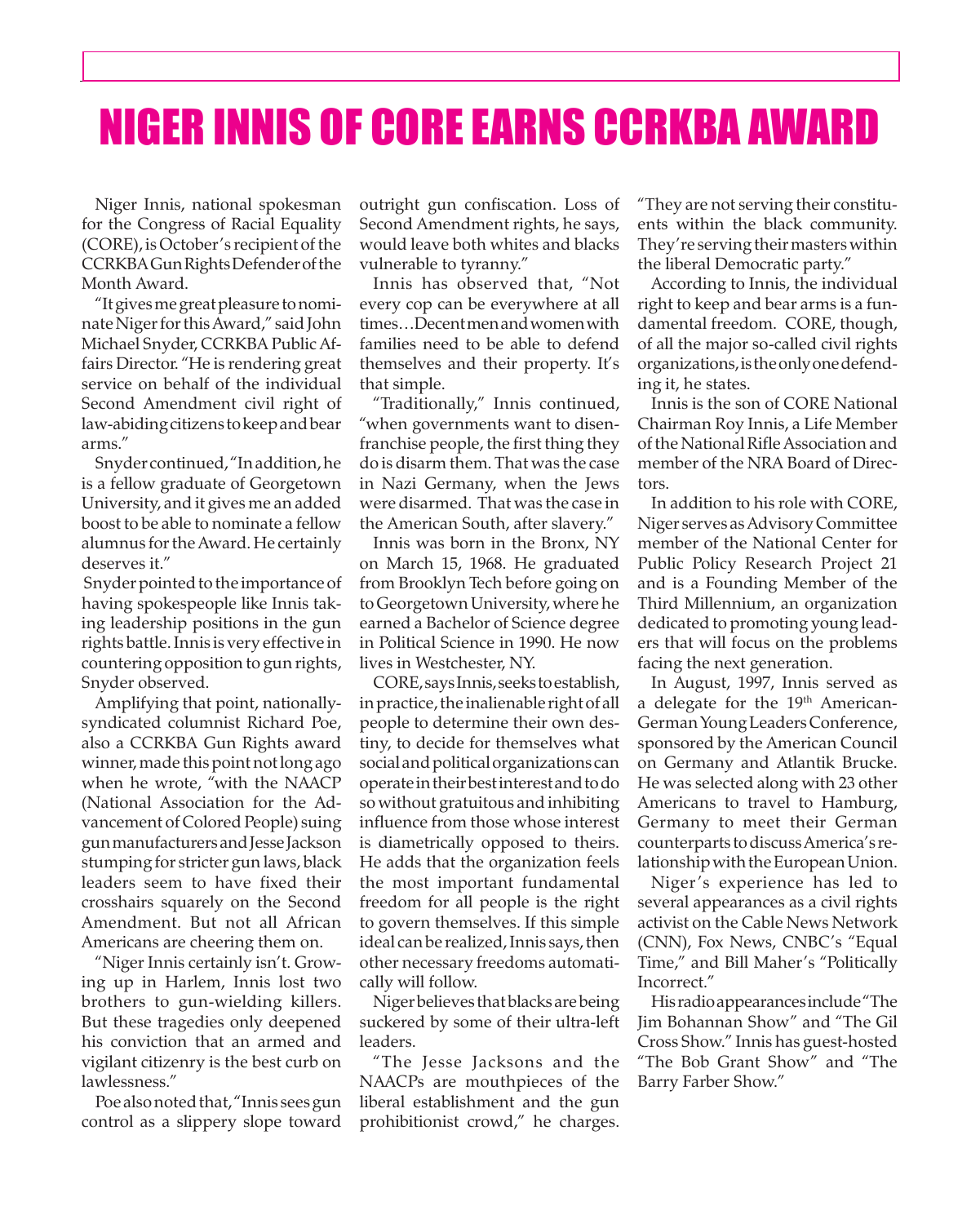## NIGER INNIS OF CORE EARNS CCRKBA AWARD

Niger Innis, national spokesman for the Congress of Racial Equality (CORE), is October's recipient of the CCRKBA Gun Rights Defender of the Month Award.

"It gives me great pleasure to nominate Niger for this Award," said John Michael Snyder, CCRKBA Public Affairs Director. "He is rendering great service on behalf of the individual Second Amendment civil right of law-abiding citizens to keep and bear arms."

Snyder continued, "In addition, he is a fellow graduate of Georgetown University, and it gives me an added boost to be able to nominate a fellow alumnus for the Award. He certainly deserves it."

 Snyder pointed to the importance of having spokespeople like Innis taking leadership positions in the gun rights battle. Innis is very effective in countering opposition to gun rights, Snyder observed.

Amplifying that point, nationallysyndicated columnist Richard Poe, also a CCRKBA Gun Rights award winner, made this point not long ago when he wrote, "with the NAACP (National Association for the Advancement of Colored People) suing gun manufacturers and Jesse Jackson stumping for stricter gun laws, black leaders seem to have fixed their crosshairs squarely on the Second Amendment. But not all African Americans are cheering them on.

"Niger Innis certainly isn't. Growing up in Harlem, Innis lost two brothers to gun-wielding killers. But these tragedies only deepened his conviction that an armed and vigilant citizenry is the best curb on lawlessness."

Poe also noted that, "Innis sees gun control as a slippery slope toward

outright gun confiscation. Loss of Second Amendment rights, he says, would leave both whites and blacks vulnerable to tyranny."

Innis has observed that, "Not every cop can be everywhere at all times…Decent men and women with families need to be able to defend themselves and their property. It's that simple.

"Traditionally," Innis continued, "when governments want to disenfranchise people, the first thing they do is disarm them. That was the case in Nazi Germany, when the Jews were disarmed. That was the case in the American South, after slavery."

Innis was born in the Bronx, NY on March 15, 1968. He graduated from Brooklyn Tech before going on to Georgetown University, where he earned a Bachelor of Science degree in Political Science in 1990. He now lives in Westchester, NY.

CORE, says Innis, seeks to establish, in practice, the inalienable right of all people to determine their own destiny, to decide for themselves what social and political organizations can operate in their best interest and to do so without gratuitous and inhibiting influence from those whose interest is diametrically opposed to theirs. He adds that the organization feels the most important fundamental freedom for all people is the right to govern themselves. If this simple ideal can be realized, Innis says, then other necessary freedoms automatically will follow.

Niger believes that blacks are being suckered by some of their ultra-left leaders.

"The Jesse Jacksons and the NAACPs are mouthpieces of the liberal establishment and the gun prohibitionist crowd," he charges.

"They are not serving their constituents within the black community. They're serving their masters within the liberal Democratic party."

According to Innis, the individual right to keep and bear arms is a fundamental freedom. CORE, though, of all the major so-called civil rights organizations, is the only one defending it, he states.

Innis is the son of CORE National Chairman Roy Innis, a Life Member of the National Rifle Association and member of the NRA Board of Directors.

In addition to his role with CORE, Niger serves as Advisory Committee member of the National Center for Public Policy Research Project 21 and is a Founding Member of the Third Millennium, an organization dedicated to promoting young leaders that will focus on the problems facing the next generation.

In August, 1997, Innis served as a delegate for the 19th American-German Young Leaders Conference, sponsored by the American Council on Germany and Atlantik Brucke. He was selected along with 23 other Americans to travel to Hamburg, Germany to meet their German counterparts to discuss America's relationship with the European Union.

Niger's experience has led to several appearances as a civil rights activist on the Cable News Network (CNN), Fox News, CNBC's "Equal Time," and Bill Maher's "Politically Incorrect."

His radio appearances include "The Jim Bohannan Show" and "The Gil Cross Show." Innis has guest-hosted "The Bob Grant Show" and "The Barry Farber Show."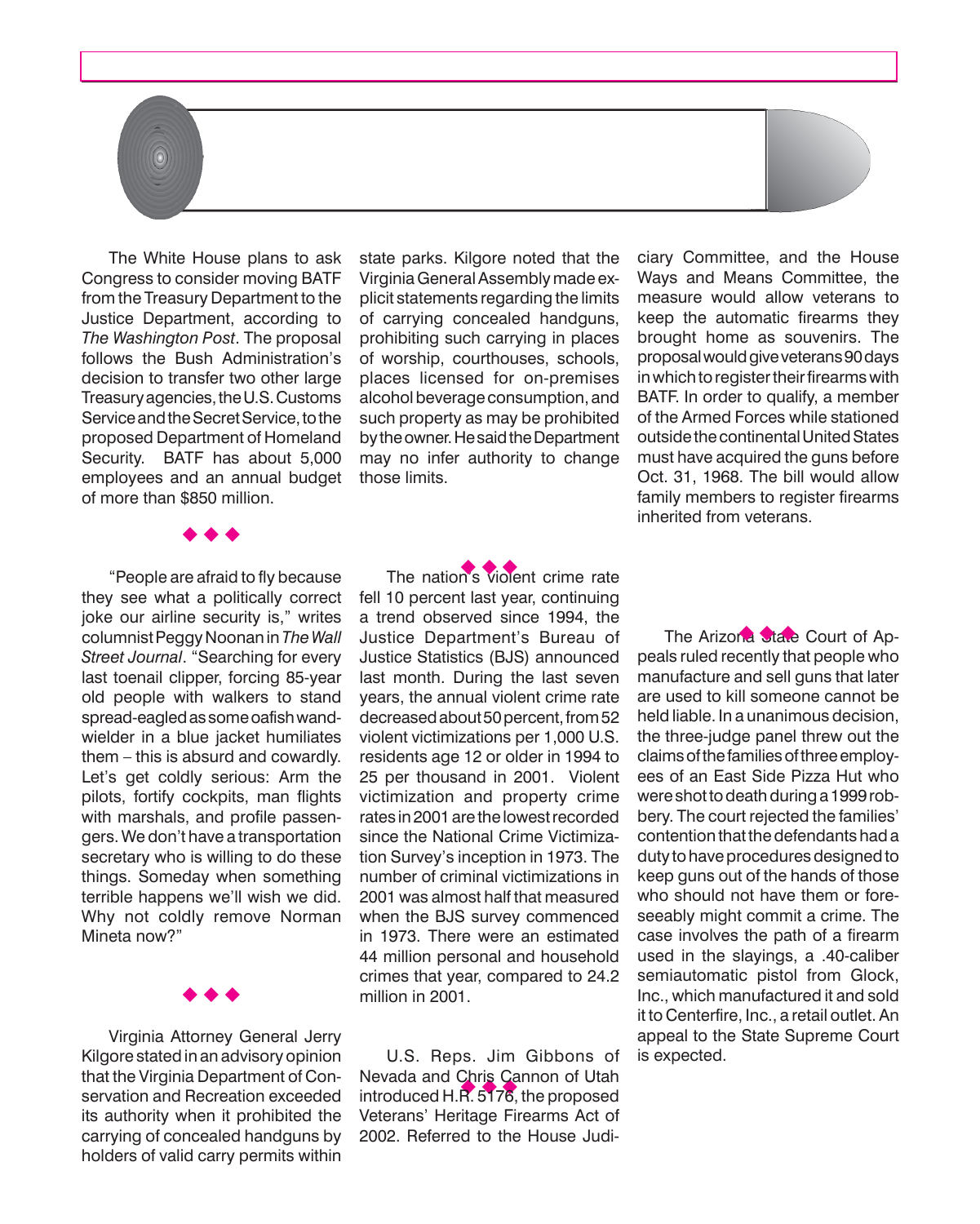The White House plans to ask Congress to consider moving BATF from the Treasury Department to the Justice Department, according to *The Washington Post*. The proposal follows the Bush Administration's decision to transfer two other large Treasury agencies, the U.S. Customs Service and the Secret Service, to the proposed Department of Homeland Security. BATF has about 5,000 employees and an annual budget of more than \$850 million.

 $\circledcirc$ 

 $\leftrightarrow$ 

 "People are afraid to fly because they see what a politically correct joke our airline security is," writes columnistPeggyNoonanin*The Wall Street Journal*. "Searching for every last toenail clipper, forcing 85-year old people with walkers to stand spread-eagledassomeoafishwandwielder in a blue jacket humiliates them – this is absurd and cowardly. Let's get coldly serious: Arm the pilots, fortify cockpits, man flights with marshals, and profile passengers. We don't have a transportation secretary who is willing to do these things. Someday when something terrible happens we'll wish we did. Why not coldly remove Norman Mineta now?"

 Virginia Attorney General Jerry Kilgore stated in an advisory opinion that the Virginia Department of Conservation and Recreation exceeded its authority when it prohibited the carrying of concealed handguns by holders of valid carry permits within

 $\leftrightarrow$ 

state parks. Kilgore noted that the VirginiaGeneralAssembly made explicit statements regarding the limits of carrying concealed handguns, prohibiting such carrying in places of worship, courthouses, schools, places licensed for on-premises alcohol beverage consumption, and such property as may be prohibited by the owner. He said the Department may no infer authority to change those limits.

The nation's violent crime rate fell 10 percent last year, continuing a trend observed since 1994, the Justice Department's Bureau of Justice Statistics (BJS) announced last month. During the last seven years, the annual violent crime rate decreased about 50 percent, from 52 violent victimizations per 1,000 U.S. residents age 12 or older in 1994 to 25 per thousand in 2001. Violent victimization and property crime rates in2001arethelowestrecorded since the National Crime Victimization Survey's inception in 1973. The number of criminal victimizations in 2001 was almost half that measured when the BJS survey commenced in 1973. There were an estimated 44 million personal and household crimes that year, compared to 24.2 million in 2001.

Nevada and Chris Cannon of Utah<br>introduced H.R. 5176, the proposed U.S. Reps. Jim Gibbons of Nevada and Chris Cannon of Utah Veterans' Heritage Firearms Act of 2002. Referred to the House Judiciary Committee, and the House Ways and Means Committee, the measure would allow veterans to keep the automatic firearms they brought home as souvenirs. The proposalwouldgiveveterans90days in which to register their firearms with BATF. In order to qualify, a member of the Armed Forces while stationed outsidethecontinentalUnitedStates must have acquired the guns before Oct. 31, 1968. The bill would allow family members to register firearms inherited from veterans.

The Arizona State Court of Appeals ruled recently that people who manufacture and sell guns that later are used to kill someone cannot be held liable. In a unanimous decision, the three-judge panel threw out the claimsofthefamiliesofthreeemployees of an East Side Pizza Hut who were shot to death during a 1999 robbery. The court rejected the families' contention that the defendants had a duty to have procedures designed to keep guns out of the hands of those who should not have them or foreseeably might commit a crime. The case involves the path of a firearm used in the slayings, a .40-caliber semiautomatic pistol from Glock, Inc., which manufactured it and sold it to Centerfire, Inc., a retail outlet. An appeal to the State Supreme Court is expected.